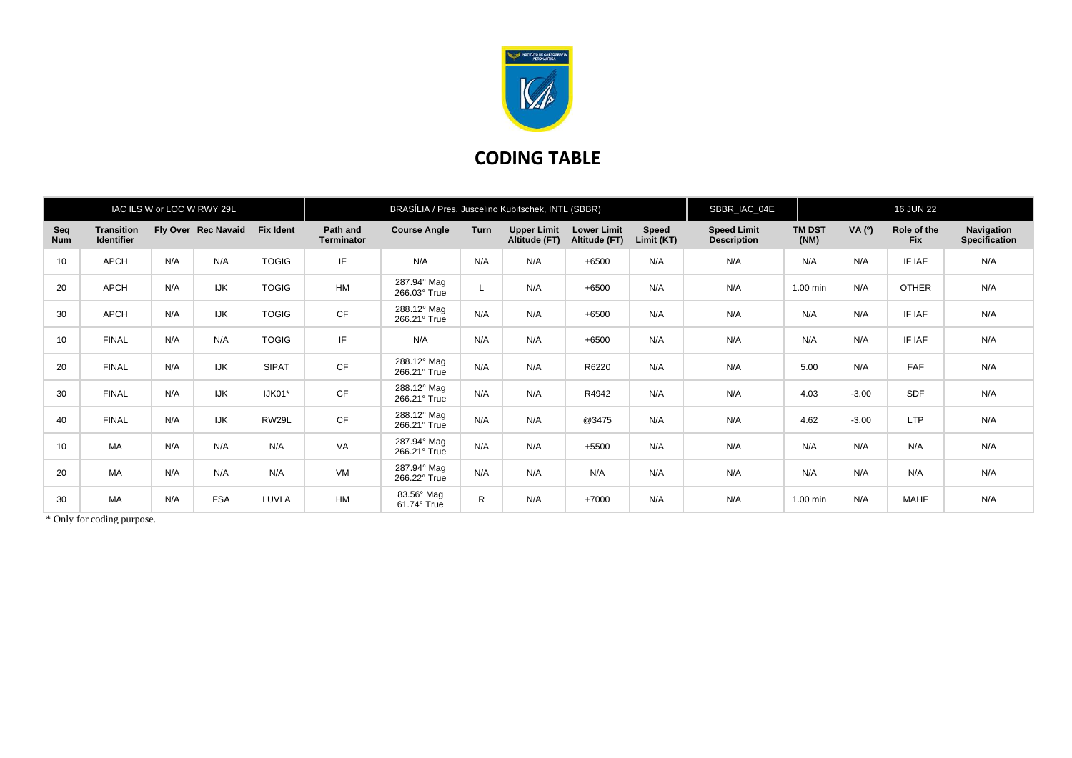

## **CODING TABLE**

|                   |                                        |     | IAC ILS W or LOC W RWY 29L |                  | BRASÍLIA / Pres. Juscelino Kubitschek, INTL (SBBR) |                                  |              |                                     |                                     |                     | SBBR_IAC_04E                             |                       | <b>16 JUN 22</b> |                           |                                    |
|-------------------|----------------------------------------|-----|----------------------------|------------------|----------------------------------------------------|----------------------------------|--------------|-------------------------------------|-------------------------------------|---------------------|------------------------------------------|-----------------------|------------------|---------------------------|------------------------------------|
| Seq<br><b>Num</b> | <b>Transition</b><br><b>Identifier</b> |     | Fly Over Rec Navaid        | <b>Fix Ident</b> | Path and<br><b>Terminator</b>                      | <b>Course Angle</b>              | <b>Turn</b>  | <b>Upper Limit</b><br>Altitude (FT) | <b>Lower Limit</b><br>Altitude (FT) | Speed<br>Limit (KT) | <b>Speed Limit</b><br><b>Description</b> | <b>TM DST</b><br>(NM) | VA (0)           | Role of the<br><b>Fix</b> | Navigation<br><b>Specification</b> |
| 10                | <b>APCH</b>                            | N/A | N/A                        | <b>TOGIG</b>     | IF                                                 | N/A                              | N/A          | N/A                                 | $+6500$                             | N/A                 | N/A                                      | N/A                   | N/A              | IF IAF                    | N/A                                |
| 20                | <b>APCH</b>                            | N/A | <b>IJK</b>                 | <b>TOGIG</b>     | HM                                                 | 287.94° Mag<br>266.03° True      |              | N/A                                 | $+6500$                             | N/A                 | N/A                                      | 1.00 min              | N/A              | <b>OTHER</b>              | N/A                                |
| 30                | <b>APCH</b>                            | N/A | <b>IJK</b>                 | <b>TOGIG</b>     | CF                                                 | 288.12° Mag<br>266.21° True      | N/A          | N/A                                 | $+6500$                             | N/A                 | N/A                                      | N/A                   | N/A              | IF IAF                    | N/A                                |
| 10                | <b>FINAL</b>                           | N/A | N/A                        | <b>TOGIG</b>     | IF                                                 | N/A                              | N/A          | N/A                                 | $+6500$                             | N/A                 | N/A                                      | N/A                   | N/A              | IF IAF                    | N/A                                |
| 20                | <b>FINAL</b>                           | N/A | <b>IJK</b>                 | <b>SIPAT</b>     | CF                                                 | 288.12° Mag<br>266.21° True      | N/A          | N/A                                 | R6220                               | N/A                 | N/A                                      | 5.00                  | N/A              | FAF                       | N/A                                |
| 30                | <b>FINAL</b>                           | N/A | <b>IJK</b>                 | IJK01*           | CF                                                 | 288.12° Mag<br>266.21° True      | N/A          | N/A                                 | R4942                               | N/A                 | N/A                                      | 4.03                  | $-3.00$          | <b>SDF</b>                | N/A                                |
| 40                | <b>FINAL</b>                           | N/A | <b>IJK</b>                 | RW29L            | CF                                                 | 288.12° Mag<br>266.21° True      | N/A          | N/A                                 | @3475                               | N/A                 | N/A                                      | 4.62                  | $-3.00$          | <b>LTP</b>                | N/A                                |
| 10                | MA                                     | N/A | N/A                        | N/A              | VA                                                 | 287.94° Mag<br>266.21° True      | N/A          | N/A                                 | $+5500$                             | N/A                 | N/A                                      | N/A                   | N/A              | N/A                       | N/A                                |
| 20                | MA                                     | N/A | N/A                        | N/A              | VM                                                 | 287.94° Mag<br>266.22° True      | N/A          | N/A                                 | N/A                                 | N/A                 | N/A                                      | N/A                   | N/A              | N/A                       | N/A                                |
| 30                | MA                                     | N/A | <b>FSA</b>                 | LUVLA            | <b>HM</b>                                          | 83.56° Mag<br>$61.74^\circ$ True | $\mathsf{R}$ | N/A                                 | $+7000$                             | N/A                 | N/A                                      | 1.00 min              | N/A              | <b>MAHF</b>               | N/A                                |

\* Only for coding purpose.